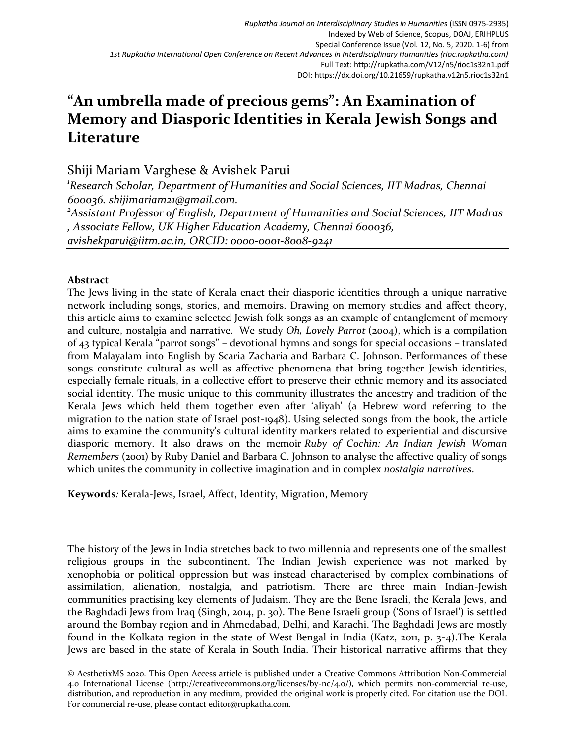## **"An umbrella made of precious gems": An Examination of Memory and Diasporic Identities in Kerala Jewish Songs and Literature**

Shiji Mariam Varghese & Avishek Parui

*<sup>1</sup>Research Scholar, Department of Humanities and Social Sciences, IIT Madras, Chennai 600036. shijimariam21@gmail.com. <sup>2</sup>Assistant Professor of English, Department of Humanities and Social Sciences, IIT Madras , Associate Fellow, UK Higher Education Academy, Chennai 600036, avishekparui@iitm.ac.in, ORCID: 0000-0001-8008-9241* 

## **Abstract**

The Jews living in the state of Kerala enact their diasporic identities through a unique narrative network including songs, stories, and memoirs. Drawing on memory studies and affect theory, this article aims to examine selected Jewish folk songs as an example of entanglement of memory and culture, nostalgia and narrative. We study *Oh, Lovely Parrot* (2004), which is a compilation of 43 typical Kerala "parrot songs" – devotional hymns and songs for special occasions – translated from Malayalam into English by Scaria Zacharia and Barbara C. Johnson. Performances of these songs constitute cultural as well as affective phenomena that bring together Jewish identities, especially female rituals, in a collective effort to preserve their ethnic memory and its associated social identity. The music unique to this community illustrates the ancestry and tradition of the Kerala Jews which held them together even after 'aliyah' (a Hebrew word referring to the migration to the nation state of Israel post-1948). Using selected songs from the book, the article aims to examine the community's cultural identity markers related to experiential and discursive diasporic memory. It also draws on the memoir *Ruby of Cochin: An Indian Jewish Woman Remembers* (2001) by Ruby Daniel and Barbara C. Johnson to analyse the affective quality of songs which unites the community in collective imagination and in complex *nostalgia narratives*.

**Keywords***:* Kerala-Jews, Israel, Affect, Identity, Migration, Memory

The history of the Jews in India stretches back to two millennia and represents one of the smallest religious groups in the subcontinent. The Indian Jewish experience was not marked by xenophobia or political oppression but was instead characterised by complex combinations of assimilation, alienation, nostalgia, and patriotism. There are three main Indian-Jewish communities practising key elements of Judaism. They are the Bene Israeli, the Kerala Jews, and the Baghdadi Jews from Iraq (Singh, 2014, p. 30). The Bene Israeli group ('Sons of Israel') is settled around the Bombay region and in Ahmedabad, Delhi, and Karachi. The Baghdadi Jews are mostly found in the Kolkata region in the state of West Bengal in India (Katz, 2011, p. 3-4).The Kerala Jews are based in the state of Kerala in South India. Their historical narrative affirms that they

<sup>©</sup> AesthetixMS 2020. This Open Access article is published under a Creative Commons Attribution Non-Commercial 4.0 International License (http://creativecommons.org/licenses/by-nc/4.0/), which permits non-commercial re-use, distribution, and reproduction in any medium, provided the original work is properly cited. For citation use the DOI. For commercial re-use, please contact editor@rupkatha.com.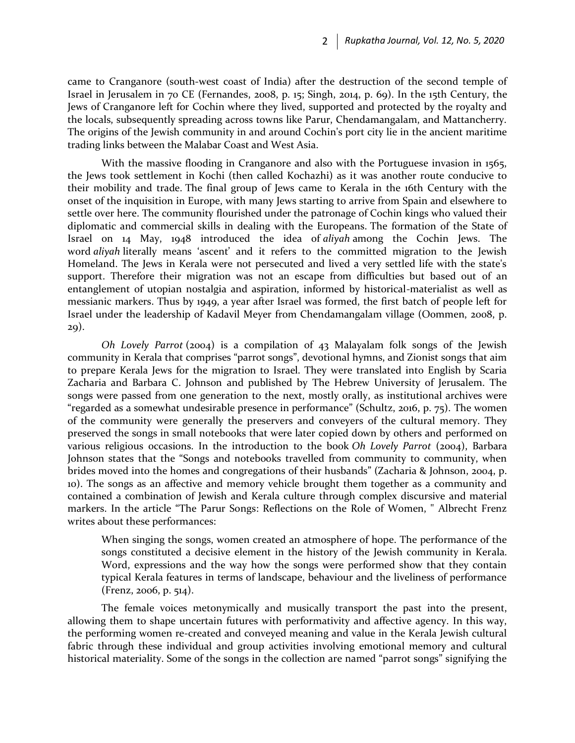came to Cranganore (south-west coast of India) after the destruction of the second temple of Israel in Jerusalem in 70 CE (Fernandes, 2008, p. 15; Singh, 2014, p. 69). In the 15th Century, the Jews of Cranganore left for Cochin where they lived, supported and protected by the royalty and the locals, subsequently spreading across towns like Parur, Chendamangalam, and Mattancherry. The origins of the Jewish community in and around Cochin's port city lie in the ancient maritime trading links between the Malabar Coast and West Asia.

With the massive flooding in Cranganore and also with the Portuguese invasion in 1565, the Jews took settlement in Kochi (then called Kochazhi) as it was another route conducive to their mobility and trade. The final group of Jews came to Kerala in the 16th Century with the onset of the inquisition in Europe, with many Jews starting to arrive from Spain and elsewhere to settle over here. The community flourished under the patronage of Cochin kings who valued their diplomatic and commercial skills in dealing with the Europeans. The formation of the State of Israel on 14 May, 1948 introduced the idea of *aliyah* among the Cochin Jews. The word *aliyah* literally means 'ascent' and it refers to the committed migration to the Jewish Homeland. The Jews in Kerala were not persecuted and lived a very settled life with the state's support. Therefore their migration was not an escape from difficulties but based out of an entanglement of utopian nostalgia and aspiration, informed by historical-materialist as well as messianic markers. Thus by 1949, a year after Israel was formed, the first batch of people left for Israel under the leadership of Kadavil Meyer from Chendamangalam village (Oommen, 2008, p. 29).

*Oh Lovely Parrot* (2004) is a compilation of 43 Malayalam folk songs of the Jewish community in Kerala that comprises "parrot songs", devotional hymns, and Zionist songs that aim to prepare Kerala Jews for the migration to Israel. They were translated into English by Scaria Zacharia and Barbara C. Johnson and published by The Hebrew University of Jerusalem. The songs were passed from one generation to the next, mostly orally, as institutional archives were "regarded as a somewhat undesirable presence in performance" (Schultz, 2016, p. 75). The women of the community were generally the preservers and conveyers of the cultural memory. They preserved the songs in small notebooks that were later copied down by others and performed on various religious occasions. In the introduction to the book *Oh Lovely Parrot* (2004), Barbara Johnson states that the "Songs and notebooks travelled from community to community, when brides moved into the homes and congregations of their husbands" (Zacharia & Johnson, 2004, p. 10). The songs as an affective and memory vehicle brought them together as a community and contained a combination of Jewish and Kerala culture through complex discursive and material markers. In the article "The Parur Songs: Reflections on the Role of Women, " Albrecht Frenz writes about these performances:

When singing the songs, women created an atmosphere of hope. The performance of the songs constituted a decisive element in the history of the Jewish community in Kerala. Word, expressions and the way how the songs were performed show that they contain typical Kerala features in terms of landscape, behaviour and the liveliness of performance (Frenz, 2006, p. 514).

The female voices metonymically and musically transport the past into the present, allowing them to shape uncertain futures with performativity and affective agency. In this way, the performing women re-created and conveyed meaning and value in the Kerala Jewish cultural fabric through these individual and group activities involving emotional memory and cultural historical materiality. Some of the songs in the collection are named "parrot songs" signifying the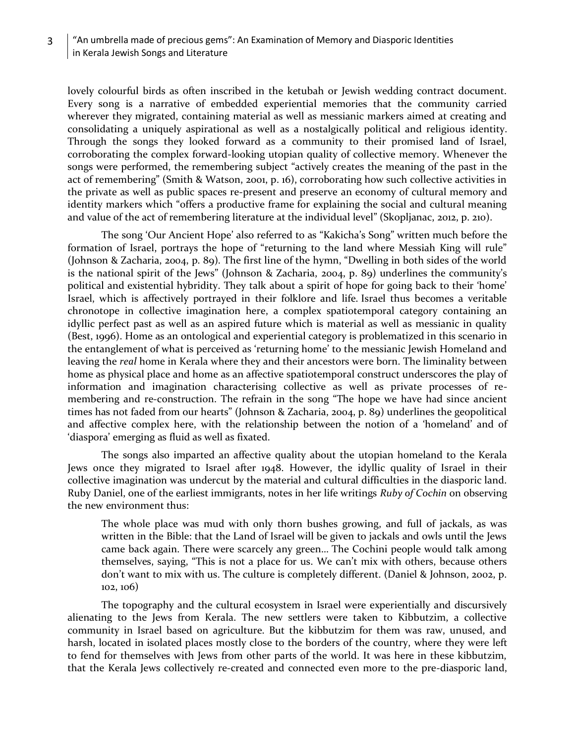## 3 | "An umbrella made of precious gems": An Examination of Memory and Diasporic Identities in Kerala Jewish Songs and Literature

lovely colourful birds as often inscribed in the ketubah or Jewish wedding contract document. Every song is a narrative of embedded experiential memories that the community carried wherever they migrated, containing material as well as messianic markers aimed at creating and consolidating a uniquely aspirational as well as a nostalgically political and religious identity. Through the songs they looked forward as a community to their promised land of Israel, corroborating the complex forward-looking utopian quality of collective memory. Whenever the songs were performed, the remembering subject "actively creates the meaning of the past in the act of remembering" (Smith & Watson, 2001, p. 16), corroborating how such collective activities in the private as well as public spaces re-present and preserve an economy of cultural memory and identity markers which "offers a productive frame for explaining the social and cultural meaning and value of the act of remembering literature at the individual level" (Skopljanac, 2012, p. 210).

The song 'Our Ancient Hope' also referred to as "Kakicha's Song" written much before the formation of Israel, portrays the hope of "returning to the land where Messiah King will rule" (Johnson & Zacharia, 2004, p. 89). The first line of the hymn, "Dwelling in both sides of the world is the national spirit of the Jews" (Johnson & Zacharia, 2004, p. 89) underlines the community's political and existential hybridity. They talk about a spirit of hope for going back to their 'home' Israel, which is affectively portrayed in their folklore and life. Israel thus becomes a veritable chronotope in collective imagination here, a complex spatiotemporal category containing an idyllic perfect past as well as an aspired future which is material as well as messianic in quality (Best, 1996). Home as an ontological and experiential category is problematized in this scenario in the entanglement of what is perceived as 'returning home' to the messianic Jewish Homeland and leaving the *real* home in Kerala where they and their ancestors were born. The liminality between home as physical place and home as an affective spatiotemporal construct underscores the play of information and imagination characterising collective as well as private processes of remembering and re-construction. The refrain in the song "The hope we have had since ancient times has not faded from our hearts" (Johnson & Zacharia, 2004, p. 89) underlines the geopolitical and affective complex here, with the relationship between the notion of a 'homeland' and of 'diaspora' emerging as fluid as well as fixated.

The songs also imparted an affective quality about the utopian homeland to the Kerala Jews once they migrated to Israel after 1948. However, the idyllic quality of Israel in their collective imagination was undercut by the material and cultural difficulties in the diasporic land. Ruby Daniel, one of the earliest immigrants, notes in her life writings *Ruby of Cochin* on observing the new environment thus:

The whole place was mud with only thorn bushes growing, and full of jackals, as was written in the Bible: that the Land of Israel will be given to jackals and owls until the Jews came back again. There were scarcely any green… The Cochini people would talk among themselves, saying, "This is not a place for us. We can't mix with others, because others don't want to mix with us. The culture is completely different. (Daniel & Johnson, 2002, p. 102, 106)

The topography and the cultural ecosystem in Israel were experientially and discursively alienating to the Jews from Kerala. The new settlers were taken to Kibbutzim, a collective community in Israel based on agriculture. But the kibbutzim for them was raw, unused, and harsh, located in isolated places mostly close to the borders of the country, where they were left to fend for themselves with Jews from other parts of the world. It was here in these kibbutzim, that the Kerala Jews collectively re-created and connected even more to the pre-diasporic land,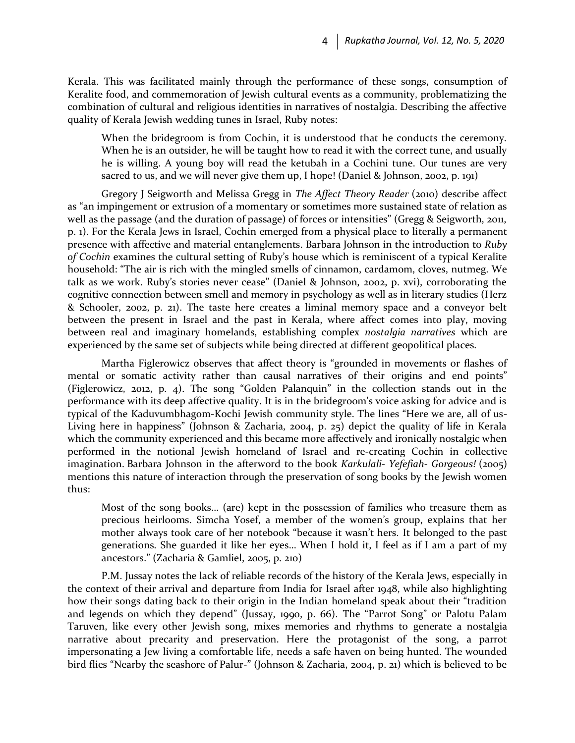Kerala. This was facilitated mainly through the performance of these songs, consumption of Keralite food, and commemoration of Jewish cultural events as a community, problematizing the combination of cultural and religious identities in narratives of nostalgia. Describing the affective quality of Kerala Jewish wedding tunes in Israel, Ruby notes:

When the bridegroom is from Cochin, it is understood that he conducts the ceremony. When he is an outsider, he will be taught how to read it with the correct tune, and usually he is willing. A young boy will read the ketubah in a Cochini tune. Our tunes are very sacred to us, and we will never give them up, I hope! (Daniel & Johnson, 2002, p. 191)

Gregory J Seigworth and Melissa Gregg in *The Affect Theory Reader* (2010) describe affect as "an impingement or extrusion of a momentary or sometimes more sustained state of relation as well as the passage (and the duration of passage) of forces or intensities" (Gregg & Seigworth, 2011, p. 1). For the Kerala Jews in Israel, Cochin emerged from a physical place to literally a permanent presence with affective and material entanglements. Barbara Johnson in the introduction to *Ruby of Cochin* examines the cultural setting of Ruby's house which is reminiscent of a typical Keralite household: "The air is rich with the mingled smells of cinnamon, cardamom, cloves, nutmeg. We talk as we work. Ruby's stories never cease" (Daniel & Johnson, 2002, p. xvi), corroborating the cognitive connection between smell and memory in psychology as well as in literary studies (Herz & Schooler, 2002, p. 21). The taste here creates a liminal memory space and a conveyor belt between the present in Israel and the past in Kerala, where affect comes into play, moving between real and imaginary homelands, establishing complex *nostalgia narratives* which are experienced by the same set of subjects while being directed at different geopolitical places.

Martha Figlerowicz observes that affect theory is "grounded in movements or flashes of mental or somatic activity rather than causal narratives of their origins and end points" (Figlerowicz, 2012, p. 4). The song "Golden Palanquin" in the collection stands out in the performance with its deep affective quality. It is in the bridegroom's voice asking for advice and is typical of the Kaduvumbhagom-Kochi Jewish community style. The lines "Here we are, all of us-Living here in happiness" (Johnson & Zacharia, 2004, p. 25) depict the quality of life in Kerala which the community experienced and this became more affectively and ironically nostalgic when performed in the notional Jewish homeland of Israel and re-creating Cochin in collective imagination. Barbara Johnson in the afterword to the book *Karkulali- Yefefiah- Gorgeous!* (2005) mentions this nature of interaction through the preservation of song books by the Jewish women thus:

Most of the song books… (are) kept in the possession of families who treasure them as precious heirlooms. Simcha Yosef, a member of the women's group, explains that her mother always took care of her notebook "because it wasn't hers. It belonged to the past generations. She guarded it like her eyes… When I hold it, I feel as if I am a part of my ancestors." (Zacharia & Gamliel, 2005, p. 210)

P.M. Jussay notes the lack of reliable records of the history of the Kerala Jews, especially in the context of their arrival and departure from India for Israel after 1948, while also highlighting how their songs dating back to their origin in the Indian homeland speak about their "tradition and legends on which they depend" (Jussay, 1990, p. 66). The "Parrot Song" or Palotu Palam Taruven, like every other Jewish song, mixes memories and rhythms to generate a nostalgia narrative about precarity and preservation. Here the protagonist of the song, a parrot impersonating a Jew living a comfortable life, needs a safe haven on being hunted. The wounded bird flies "Nearby the seashore of Palur-" (Johnson & Zacharia, 2004, p. 21) which is believed to be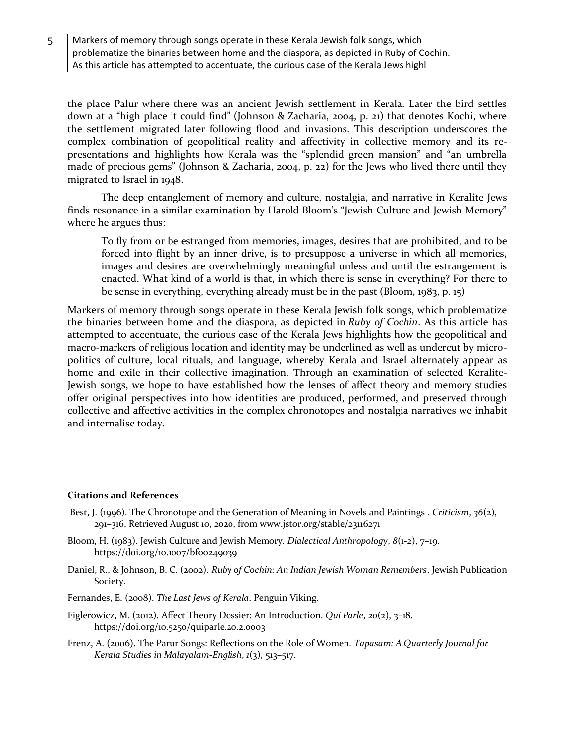5 Markers of memory through songs operate in these Kerala Jewish folk songs, which problematize the binaries between home and the diaspora, as depicted in Ruby of Cochin. As this article has attempted to accentuate, the curious case of the Kerala Jews highl

the place Palur where there was an ancient Jewish settlement in Kerala. Later the bird settles down at a "high place it could find" (Johnson & Zacharia, 2004, p. 21) that denotes Kochi, where the settlement migrated later following flood and invasions. This description underscores the complex combination of geopolitical reality and affectivity in collective memory and its representations and highlights how Kerala was the "splendid green mansion" and "an umbrella made of precious gems" (Johnson & Zacharia, 2004, p. 22) for the Jews who lived there until they migrated to Israel in 1948.

The deep entanglement of memory and culture, nostalgia, and narrative in Keralite Jews finds resonance in a similar examination by Harold Bloom's "Jewish Culture and Jewish Memory" where he argues thus:

To fly from or be estranged from memories, images, desires that are prohibited, and to be forced into flight by an inner drive, is to presuppose a universe in which all memories, images and desires are overwhelmingly meaningful unless and until the estrangement is enacted. What kind of a world is that, in which there is sense in everything? For there to be sense in everything, everything already must be in the past (Bloom, 1983, p. 15)

Markers of memory through songs operate in these Kerala Jewish folk songs, which problematize the binaries between home and the diaspora, as depicted in *Ruby of Cochin*. As this article has attempted to accentuate, the curious case of the Kerala Jews highlights how the geopolitical and macro-markers of religious location and identity may be underlined as well as undercut by micropolitics of culture, local rituals, and language, whereby Kerala and Israel alternately appear as home and exile in their collective imagination. Through an examination of selected Keralite-Jewish songs, we hope to have established how the lenses of affect theory and memory studies offer original perspectives into how identities are produced, performed, and preserved through collective and affective activities in the complex chronotopes and nostalgia narratives we inhabit and internalise today.

## **Citations and References**

- Best, J. (1996). The Chronotope and the Generation of Meaning in Novels and Paintings . *Criticism*, *36*(2), 291–316. Retrieved August 10, 2020, from www.jstor.org/stable/23116271
- Bloom, H. (1983). Jewish Culture and Jewish Memory. *Dialectical Anthropology*, *8*(1-2), 7–19. https://doi.org/10.1007/bf00249039
- Daniel, R., & Johnson, B. C. (2002). *Ruby of Cochin: An Indian Jewish Woman Remembers*. Jewish Publication Society.
- Fernandes, E. (2008). *The Last Jews of Kerala*. Penguin Viking.
- Figlerowicz, M. (2012). Affect Theory Dossier: An Introduction. *Qui Parle*, *20*(2), 3–18. https://doi.org/10.5250/quiparle.20.2.0003
- Frenz, A. (2006). The Parur Songs: Reflections on the Role of Women. *Tapasam: A Quarterly Journal for Kerala Studies in Malayalam-English*, *1*(3), 513–517.